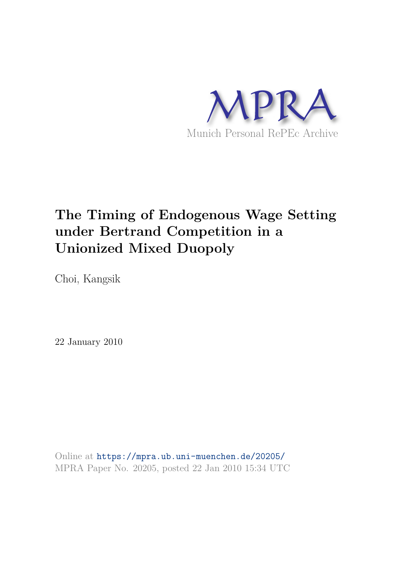

# **The Timing of Endogenous Wage Setting under Bertrand Competition in a Unionized Mixed Duopoly**

Choi, Kangsik

22 January 2010

Online at https://mpra.ub.uni-muenchen.de/20205/ MPRA Paper No. 20205, posted 22 Jan 2010 15:34 UTC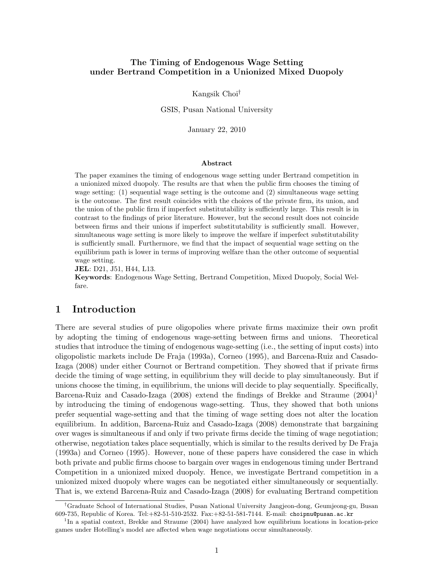## The Timing of Endogenous Wage Setting under Bertrand Competition in a Unionized Mixed Duopoly

Kangsik Choi†

GSIS, Pusan National University

January 22, 2010

#### Abstract

The paper examines the timing of endogenous wage setting under Bertrand competition in a unionized mixed duopoly. The results are that when the public firm chooses the timing of wage setting: (1) sequential wage setting is the outcome and (2) simultaneous wage setting is the outcome. The first result coincides with the choices of the private firm, its union, and the union of the public firm if imperfect substitutability is sufficiently large. This result is in contrast to the findings of prior literature. However, but the second result does not coincide between firms and their unions if imperfect substitutability is sufficiently small. However, simultaneous wage setting is more likely to improve the welfare if imperfect substitutability is sufficiently small. Furthermore, we find that the impact of sequential wage setting on the equilibrium path is lower in terms of improving welfare than the other outcome of sequential wage setting.

JEL: D21, J51, H44, L13.

Keywords: Endogenous Wage Setting, Bertrand Competition, Mixed Duopoly, Social Welfare.

# 1 Introduction

There are several studies of pure oligopolies where private firms maximize their own profit by adopting the timing of endogenous wage-setting between firms and unions. Theoretical studies that introduce the timing of endogenous wage-setting (i.e., the setting of input costs) into oligopolistic markets include De Fraja (1993a), Corneo (1995), and Barcena-Ruiz and Casado-Izaga (2008) under either Cournot or Bertrand competition. They showed that if private firms decide the timing of wage setting, in equilibrium they will decide to play simultaneously. But if unions choose the timing, in equilibrium, the unions will decide to play sequentially. Specifically, Barcena-Ruiz and Casado-Izaga (2008) extend the findings of Brekke and Straume  $(2004)^1$ by introducing the timing of endogenous wage-setting. Thus, they showed that both unions prefer sequential wage-setting and that the timing of wage setting does not alter the location equilibrium. In addition, Barcena-Ruiz and Casado-Izaga (2008) demonstrate that bargaining over wages is simultaneous if and only if two private firms decide the timing of wage negotiation; otherwise, negotiation takes place sequentially, which is similar to the results derived by De Fraja (1993a) and Corneo (1995). However, none of these papers have considered the case in which both private and public firms choose to bargain over wages in endogenous timing under Bertrand Competition in a unionized mixed duopoly. Hence, we investigate Bertrand competition in a unionized mixed duopoly where wages can be negotiated either simultaneously or sequentially. That is, we extend Barcena-Ruiz and Casado-Izaga (2008) for evaluating Bertrand competition

<sup>†</sup>Graduate School of International Studies, Pusan National University Jangjeon-dong, Geumjeong-gu, Busan 609-735, Republic of Korea. Tel:+82-51-510-2532. Fax:+82-51-581-7144. E-mail: choipnu@pusan.ac.kr

<sup>&</sup>lt;sup>1</sup>In a spatial context, Brekke and Straume (2004) have analyzed how equilibrium locations in location-price games under Hotelling's model are affected when wage negotiations occur simultaneously.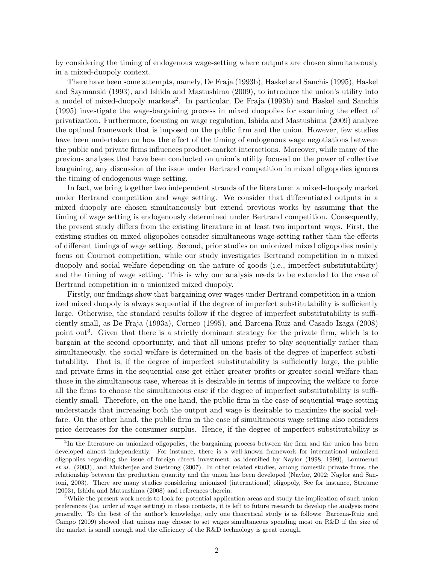by considering the timing of endogenous wage-setting where outputs are chosen simultaneously in a mixed-duopoly context.

There have been some attempts, namely, De Fraja (1993b), Haskel and Sanchis (1995), Haskel and Szymanski (1993), and Ishida and Mastushima (2009), to introduce the union's utility into a model of mixed-duopoly markets<sup>2</sup>. In particular, De Fraja (1993b) and Haskel and Sanchis (1995) investigate the wage-bargaining process in mixed duopolies for examining the effect of privatization. Furthermore, focusing on wage regulation, Ishida and Mastushima (2009) analyze the optimal framework that is imposed on the public firm and the union. However, few studies have been undertaken on how the effect of the timing of endogenous wage negotiations between the public and private firms influences product-market interactions. Moreover, while many of the previous analyses that have been conducted on union's utility focused on the power of collective bargaining, any discussion of the issue under Bertrand competition in mixed oligopolies ignores the timing of endogenous wage setting.

In fact, we bring together two independent strands of the literature: a mixed-duopoly market under Bertrand competition and wage setting. We consider that differentiated outputs in a mixed duopoly are chosen simultaneously but extend previous works by assuming that the timing of wage setting is endogenously determined under Bertrand competition. Consequently, the present study differs from the existing literature in at least two important ways. First, the existing studies on mixed oligopolies consider simultaneous wage-setting rather than the effects of different timings of wage setting. Second, prior studies on unionized mixed oligopolies mainly focus on Cournot competition, while our study investigates Bertrand competition in a mixed duopoly and social welfare depending on the nature of goods (i.e., imperfect substitutability) and the timing of wage setting. This is why our analysis needs to be extended to the case of Bertrand competition in a unionized mixed duopoly.

Firstly, our findings show that bargaining over wages under Bertrand competition in a unionized mixed duopoly is always sequential if the degree of imperfect substitutability is sufficiently large. Otherwise, the standard results follow if the degree of imperfect substitutability is sufficiently small, as De Fraja (1993a), Corneo (1995), and Barcena-Ruiz and Casado-Izaga (2008) point out<sup>3</sup>. Given that there is a strictly dominant strategy for the private firm, which is to bargain at the second opportunity, and that all unions prefer to play sequentially rather than simultaneously, the social welfare is determined on the basis of the degree of imperfect substitutability. That is, if the degree of imperfect substitutability is sufficiently large, the public and private firms in the sequential case get either greater profits or greater social welfare than those in the simultaneous case, whereas it is desirable in terms of improving the welfare to force all the firms to choose the simultaneous case if the degree of imperfect substitutability is sufficiently small. Therefore, on the one hand, the public firm in the case of sequential wage setting understands that increasing both the output and wage is desirable to maximize the social welfare. On the other hand, the public firm in the case of simultaneous wage setting also considers price decreases for the consumer surplus. Hence, if the degree of imperfect substitutability is

<sup>&</sup>lt;sup>2</sup>In the literature on unionized oligopolies, the bargaining process between the firm and the union has been developed almost independently. For instance, there is a well-known framework for international unionized oligopolies regarding the issue of foreign direct investment, as identified by Naylor (1998, 1999), Lommerud et al. (2003), and Mukherjee and Suetrong (2007). In other related studies, among domestic private firms, the relationship between the production quantity and the union has been developed (Naylor, 2002; Naylor and Santoni, 2003). There are many studies considering unionized (international) oligopoly, See for instance, Straume (2003), Ishida and Matsushima (2008) and references therein.

<sup>&</sup>lt;sup>3</sup>While the present work needs to look for potential application areas and study the implication of such union preferences (i.e. order of wage setting) in these contexts, it is left to future research to develop the analysis more generally. To the best of the author's knowledge, only one theoretical study is as follows: Barcena-Ruiz and Campo (2009) showed that unions may choose to set wages simultaneous spending most on R&D if the size of the market is small enough and the efficiency of the R&D technology is great enough.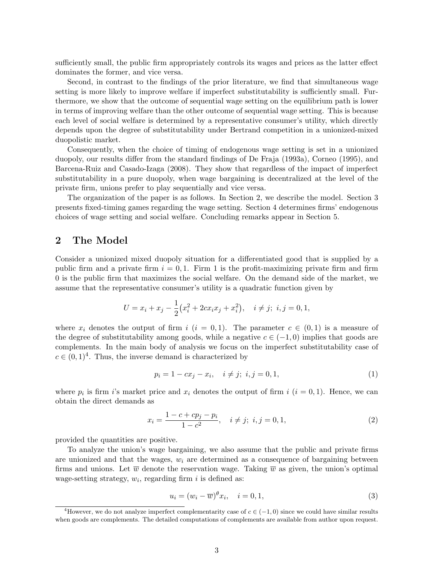sufficiently small, the public firm appropriately controls its wages and prices as the latter effect dominates the former, and vice versa.

Second, in contrast to the findings of the prior literature, we find that simultaneous wage setting is more likely to improve welfare if imperfect substitutability is sufficiently small. Furthermore, we show that the outcome of sequential wage setting on the equilibrium path is lower in terms of improving welfare than the other outcome of sequential wage setting. This is because each level of social welfare is determined by a representative consumer's utility, which directly depends upon the degree of substitutability under Bertrand competition in a unionized-mixed duopolistic market.

Consequently, when the choice of timing of endogenous wage setting is set in a unionized duopoly, our results differ from the standard findings of De Fraja (1993a), Corneo (1995), and Barcena-Ruiz and Casado-Izaga (2008). They show that regardless of the impact of imperfect substitutability in a pure duopoly, when wage bargaining is decentralized at the level of the private firm, unions prefer to play sequentially and vice versa.

The organization of the paper is as follows. In Section 2, we describe the model. Section 3 presents fixed-timing games regarding the wage setting. Section 4 determines firms' endogenous choices of wage setting and social welfare. Concluding remarks appear in Section 5.

### 2 The Model

Consider a unionized mixed duopoly situation for a differentiated good that is supplied by a public firm and a private firm  $i = 0, 1$ . Firm 1 is the profit-maximizing private firm and firm 0 is the public firm that maximizes the social welfare. On the demand side of the market, we assume that the representative consumer's utility is a quadratic function given by

$$
U = x_i + x_j - \frac{1}{2}(x_i^2 + 2cx_ix_j + x_i^2), \quad i \neq j; \ i, j = 0, 1,
$$

where  $x_i$  denotes the output of firm  $i$   $(i = 0, 1)$ . The parameter  $c \in (0, 1)$  is a measure of the degree of substitutability among goods, while a negative  $c \in (-1,0)$  implies that goods are complements. In the main body of analysis we focus on the imperfect substitutability case of  $c \in (0,1)^4$ . Thus, the inverse demand is characterized by

$$
p_i = 1 - cx_j - x_i, \quad i \neq j; \ i, j = 0, 1,
$$
\n(1)

where  $p_i$  is firm i's market price and  $x_i$  denotes the output of firm  $i$   $(i = 0, 1)$ . Hence, we can obtain the direct demands as

$$
x_i = \frac{1 - c + cp_j - p_i}{1 - c^2}, \quad i \neq j; \ i, j = 0, 1,
$$
\n(2)

provided the quantities are positive.

To analyze the union's wage bargaining, we also assume that the public and private firms are unionized and that the wages,  $w_i$  are determined as a consequence of bargaining between firms and unions. Let  $\overline{w}$  denote the reservation wage. Taking  $\overline{w}$  as given, the union's optimal wage-setting strategy,  $w_i$ , regarding firm i is defined as:

$$
u_i = (w_i - \overline{w})^{\theta} x_i, \quad i = 0, 1,
$$
\n
$$
(3)
$$

<sup>&</sup>lt;sup>4</sup>However, we do not analyze imperfect complementarity case of  $c \in (-1,0)$  since we could have similar results when goods are complements. The detailed computations of complements are available from author upon request.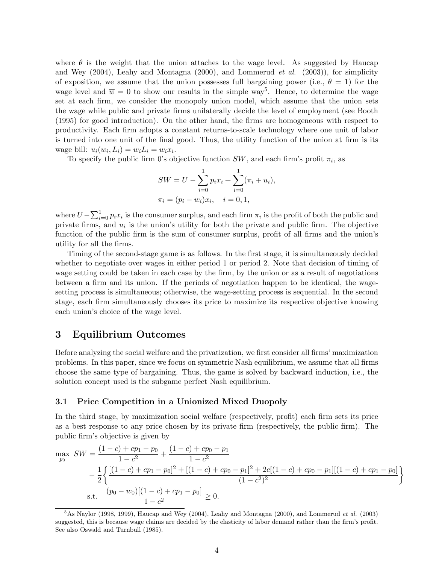where  $\theta$  is the weight that the union attaches to the wage level. As suggested by Haucap and Wey (2004), Leahy and Montagna (2000), and Lommerud *et al*. (2003)), for simplicity of exposition, we assume that the union possesses full bargaining power (i.e.,  $\theta = 1$ ) for the wage level and  $\overline{w} = 0$  to show our results in the simple way<sup>5</sup>. Hence, to determine the wage set at each firm, we consider the monopoly union model, which assume that the union sets the wage while public and private firms unilaterally decide the level of employment (see Booth (1995) for good introduction). On the other hand, the firms are homogeneous with respect to productivity. Each firm adopts a constant returns-to-scale technology where one unit of labor is turned into one unit of the final good. Thus, the utility function of the union at firm is its wage bill:  $u_i(w_i, L_i) = w_i L_i = w_i x_i$ .

To specify the public firm 0's objective function  $SW$ , and each firm's profit  $\pi_i$ , as

$$
SW = U - \sum_{i=0}^{1} p_i x_i + \sum_{i=0}^{1} (\pi_i + u_i),
$$
  

$$
\pi_i = (p_i - w_i)x_i, \quad i = 0, 1,
$$

where  $U - \sum_{i=0}^{1} p_i x_i$  is the consumer surplus, and each firm  $\pi_i$  is the profit of both the public and private firms, and  $u_i$  is the union's utility for both the private and public firm. The objective function of the public firm is the sum of consumer surplus, profit of all firms and the union's utility for all the firms.

Timing of the second-stage game is as follows. In the first stage, it is simultaneously decided whether to negotiate over wages in either period 1 or period 2. Note that decision of timing of wage setting could be taken in each case by the firm, by the union or as a result of negotiations between a firm and its union. If the periods of negotiation happen to be identical, the wagesetting process is simultaneous; otherwise, the wage-setting process is sequential. In the second stage, each firm simultaneously chooses its price to maximize its respective objective knowing each union's choice of the wage level.

# 3 Equilibrium Outcomes

Before analyzing the social welfare and the privatization, we first consider all firms' maximization problems. In this paper, since we focus on symmetric Nash equilibrium, we assume that all firms choose the same type of bargaining. Thus, the game is solved by backward induction, i.e., the solution concept used is the subgame perfect Nash equilibrium.

#### 3.1 Price Competition in a Unionized Mixed Duopoly

In the third stage, by maximization social welfare (respectively, profit) each firm sets its price as a best response to any price chosen by its private firm (respectively, the public firm). The public firm's objective is given by

$$
\max_{p_0} SW = \frac{(1-c) + cp_1 - p_0}{1-c^2} + \frac{(1-c) + cp_0 - p_1}{1-c^2}
$$
  
 
$$
- \frac{1}{2} \left\{ \frac{[(1-c) + cp_1 - p_0]^2 + [(1-c) + cp_0 - p_1]^2 + 2c[(1-c) + cp_0 - p_1][(1-c) + cp_1 - p_0]}{(1-c^2)^2} \right\}
$$
  
s.t. 
$$
\frac{(p_0 - w_0)[(1-c) + cp_1 - p_0]}{1-c^2} \ge 0.
$$

 $5$ As Naylor (1998, 1999), Haucap and Wey (2004), Leahy and Montagna (2000), and Lommerud et al. (2003) suggested, this is because wage claims are decided by the elasticity of labor demand rather than the firm's profit. See also Oswald and Turnbull (1985).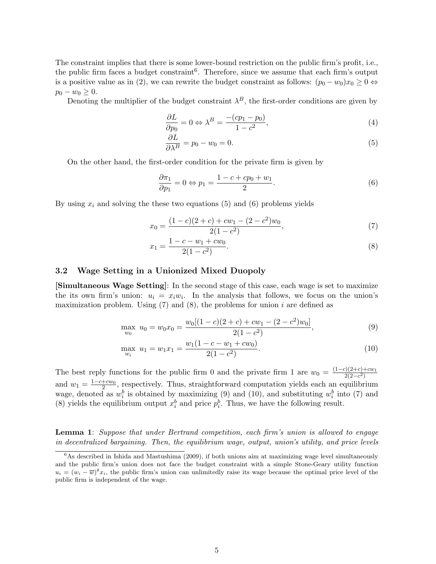The constraint implies that there is some lower-bound restriction on the public firm's profit, i.e., the public firm faces a budget constraint<sup>6</sup>. Therefore, since we assume that each firm's output is a positive value as in (2), we can rewrite the budget constraint as follows:  $(p_0 - w_0)x_0 \geq 0 \Leftrightarrow$  $p_0 - w_0 \geq 0.$ 

Denoting the multiplier of the budget constraint  $\lambda^B$ , the first-order conditions are given by

$$
\frac{\partial L}{\partial p_0} = 0 \Leftrightarrow \lambda^B = \frac{-(cp_1 - p_0)}{1 - c^2},\tag{4}
$$

$$
\frac{\partial L}{\partial \lambda^B} = p_0 - w_0 = 0. \tag{5}
$$

On the other hand, the first-order condition for the private firm is given by

$$
\frac{\partial \pi_1}{\partial p_1} = 0 \Leftrightarrow p_1 = \frac{1 - c + cp_0 + w_1}{2}.\tag{6}
$$

By using  $x_i$  and solving the these two equations (5) and (6) problems yields

$$
x_0 = \frac{(1-c)(2+c) + cw_1 - (2-c^2)w_0}{2(1-c^2)},
$$
\n(7)

$$
x_1 = \frac{1 - c - w_1 + cw_0}{2(1 - c^2)}.
$$
\n(8)

#### 3.2 Wage Setting in a Unionized Mixed Duopoly

[Simultaneous Wage Setting]: In the second stage of this case, each wage is set to maximize the its own firm's union:  $u_i = x_i w_i$ . In the analysis that follows, we focus on the union's maximization problem. Using  $(7)$  and  $(8)$ , the problems for union i are defined as

$$
\max_{w_0} u_0 = w_0 x_0 = \frac{w_0 [(1-c)(2+c) + cw_1 - (2-c^2) w_0]}{2(1-c^2)},
$$
\n(9)

$$
\max_{w_i} u_1 = w_1 x_1 = \frac{w_1 (1 - c - w_1 + cw_0)}{2(1 - c^2)}.
$$
\n(10)

The best reply functions for the public firm 0 and the private firm 1 are  $w_0 = \frac{(1-c)(2+c)+cw_1}{2(2-c^2)}$  $2(2-c^2)$ and  $w_1 = \frac{1 - c + cw_0}{2}$  $\frac{1-cw_0}{2}$ , respectively. Thus, straightforward computation yields each an equilibrium wage, denoted as  $w_i^b$  is obtained by maximizing (9) and (10), and substituting  $w_i^b$  into (7) and (8) yields the equilibrium output  $x_i^b$  and price  $p_i^b$ . Thus, we have the following result.

Lemma 1: *Suppose that under Bertrand competition, each firm's union is allowed to engage in decentralized bargaining. Then, the equilibrium wage, output, union's utility, and price levels*

 $6$ As described in Ishida and Mastushima (2009), if both unions aim at maximizing wage level simultaneously and the public firm's union does not face the budget constraint with a simple Stone-Geary utility function  $u_i = (w_i - \overline{w})^{\theta} x_i$ , the public firm's union can unlimitedly raise its wage because the optimal price level of the public firm is independent of the wage.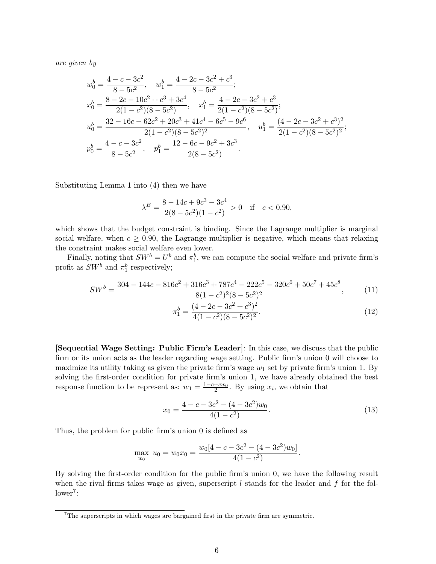*are given by*

$$
w_0^b = \frac{4 - c - 3c^2}{8 - 5c^2}, \quad w_1^b = \frac{4 - 2c - 3c^2 + c^3}{8 - 5c^2};
$$
  
\n
$$
x_0^b = \frac{8 - 2c - 10c^2 + c^3 + 3c^4}{2(1 - c^2)(8 - 5c^2)}, \quad x_1^b = \frac{4 - 2c - 3c^2 + c^3}{2(1 - c^2)(8 - 5c^2)};
$$
  
\n
$$
u_0^b = \frac{32 - 16c - 62c^2 + 20c^3 + 41c^4 - 6c^5 - 9c^6}{2(1 - c^2)(8 - 5c^2)^2}, \quad u_1^b = \frac{(4 - 2c - 3c^2 + c^3)^2}{2(1 - c^2)(8 - 5c^2)^2};
$$
  
\n
$$
p_0^b = \frac{4 - c - 3c^2}{8 - 5c^2}, \quad p_1^b = \frac{12 - 6c - 9c^2 + 3c^3}{2(8 - 5c^2)}.
$$

Substituting Lemma 1 into (4) then we have

$$
\lambda^B = \frac{8 - 14c + 9c^3 - 3c^4}{2(8 - 5c^2)(1 - c^2)} > 0 \quad \text{if} \quad c < 0.90,
$$

which shows that the budget constraint is binding. Since the Lagrange multiplier is marginal social welfare, when  $c \geq 0.90$ , the Lagrange multiplier is negative, which means that relaxing the constraint makes social welfare even lower.

Finally, noting that  $SW^b = U^b$  and  $\pi_1^b$ , we can compute the social welfare and private firm's profit as  $SW^b$  and  $\pi_1^b$  respectively;

$$
SW^b = \frac{304 - 144c - 816c^2 + 316c^3 + 787c^4 - 222c^5 - 320c^6 + 50c^7 + 45c^8}{8(1 - c^2)^2(8 - 5c^2)^2},
$$
(11)

$$
\pi_1^b = \frac{(4 - 2c - 3c^2 + c^3)^2}{4(1 - c^2)(8 - 5c^2)^2}.
$$
\n(12)

[Sequential Wage Setting: Public Firm's Leader]: In this case, we discuss that the public firm or its union acts as the leader regarding wage setting. Public firm's union 0 will choose to maximize its utility taking as given the private firm's wage  $w_1$  set by private firm's union 1. By solving the first-order condition for private firm's union 1, we have already obtained the best response function to be represent as:  $w_1 = \frac{1 - c + cw_0}{2}$  $\frac{+cw_0}{2}$ . By using  $x_i$ , we obtain that

$$
x_0 = \frac{4 - c - 3c^2 - (4 - 3c^2)w_0}{4(1 - c^2)}.
$$
\n(13)

Thus, the problem for public firm's union 0 is defined as

$$
\max_{w_0} u_0 = w_0 x_0 = \frac{w_0[4 - c - 3c^2 - (4 - 3c^2)w_0]}{4(1 - c^2)}.
$$

By solving the first-order condition for the public firm's union 0, we have the following result when the rival firms takes wage as given, superscript  $l$  stands for the leader and  $f$  for the fol $lower<sup>7</sup>$ :

<sup>&</sup>lt;sup>7</sup>The superscripts in which wages are bargained first in the private firm are symmetric.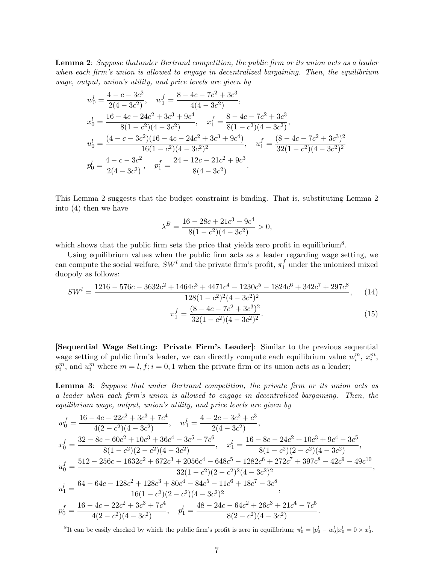Lemma 2: *Suppose thatunder Bertrand competition, the public firm or its union acts as a leader when each firm's union is allowed to engage in decentralized bargaining. Then, the equilibrium wage, output, union's utility, and price levels are given by*

$$
w_0^l = \frac{4 - c - 3c^2}{2(4 - 3c^2)}, \quad w_1^f = \frac{8 - 4c - 7c^2 + 3c^3}{4(4 - 3c^2)},
$$
  
\n
$$
x_0^l = \frac{16 - 4c - 24c^2 + 3c^3 + 9c^4}{8(1 - c^2)(4 - 3c^2)}, \quad x_1^f = \frac{8 - 4c - 7c^2 + 3c^3}{8(1 - c^2)(4 - 3c^2)},
$$
  
\n
$$
u_0^l = \frac{(4 - c - 3c^2)(16 - 4c - 24c^2 + 3c^3 + 9c^4)}{16(1 - c^2)(4 - 3c^2)^2}, \quad u_1^f = \frac{(8 - 4c - 7c^2 + 3c^3)^2}{32(1 - c^2)(4 - 3c^2)^2}
$$
  
\n
$$
p_0^l = \frac{4 - c - 3c^2}{2(4 - 3c^2)}, \quad p_1^f = \frac{24 - 12c - 21c^2 + 9c^3}{8(4 - 3c^2)}.
$$

This Lemma 2 suggests that the budget constraint is binding. That is, substituting Lemma 2 into (4) then we have

$$
\lambda^{B} = \frac{16 - 28c + 21c^{3} - 9c^{4}}{8(1 - c^{2})(4 - 3c^{2})} > 0,
$$

which shows that the public firm sets the price that yields zero profit in equilibrium<sup>8</sup>.

Using equilibrium values when the public firm acts as a leader regarding wage setting, we can compute the social welfare,  $SW<sup>l</sup>$  and the private firm's profit,  $\pi_1^f$  $\frac{1}{1}$  under the unionized mixed duopoly as follows:

$$
SWl = \frac{1216 - 576c - 3632c2 + 1464c3 + 4471c4 - 1230c5 - 1824c6 + 342c7 + 297c8}{128(1 - c2)2(4 - 3c2)2},
$$
 (14)

$$
\pi_1^f = \frac{(8 - 4c - 7c^2 + 3c^3)^2}{32(1 - c^2)(4 - 3c^2)^2}.
$$
\n(15)

[Sequential Wage Setting: Private Firm's Leader]: Similar to the previous sequential wage setting of public firm's leader, we can directly compute each equilibrium value  $w_i^m$ ,  $x_i^m$ ,  $p_i^m$ , and  $u_i^m$  where  $m = l, f; i = 0, 1$  when the private firm or its union acts as a leader;

Lemma 3: *Suppose that under Bertrand competition, the private firm or its union acts as a leader when each firm's union is allowed to engage in decentralized bargaining. Then, the equilibrium wage, output, union's utility, and price levels are given by*

$$
w_0^f = \frac{16 - 4c - 22c^2 + 3c^3 + 7c^4}{4(2 - c^2)(4 - 3c^2)}, \quad w_1^l = \frac{4 - 2c - 3c^2 + c^3}{2(4 - 3c^2)},
$$
  
\n
$$
x_0^f = \frac{32 - 8c - 60c^2 + 10c^3 + 36c^4 - 3c^5 - 7c^6}{8(1 - c^2)(2 - c^2)(4 - 3c^2)}, \quad x_1^l = \frac{16 - 8c - 24c^2 + 10c^3 + 9c^4 - 3c^5}{8(1 - c^2)(2 - c^2)(4 - 3c^2)},
$$
  
\n
$$
u_0^f = \frac{512 - 256c - 1632c^2 + 672c^3 + 2056c^4 - 648c^5 - 1282c^6 + 272c^7 + 397c^8 - 42c^9 - 49c^{10}}{32(1 - c^2)(2 - c^2)^2(4 - 3c^2)^2},
$$
  
\n
$$
u_1^l = \frac{64 - 64c - 128c^2 + 128c^3 + 80c^4 - 84c^5 - 11c^6 + 18c^7 - 3c^8}{16(1 - c^2)(2 - c^2)(4 - 3c^2)^2},
$$
  
\n
$$
p_0^f = \frac{16 - 4c - 22c^2 + 3c^3 + 7c^4}{4(2 - c^2)(4 - 3c^2)}, \quad p_1^l = \frac{48 - 24c - 64c^2 + 26c^3 + 21c^4 - 7c^5}{8(2 - c^2)(4 - 3c^2)}.
$$

<sup>8</sup>It can be easily checked by which the public firm's profit is zero in equilibrium;  $\pi_0^l = [p_0^l - w_0^l]x_0^l = 0 \times x_0^l$ .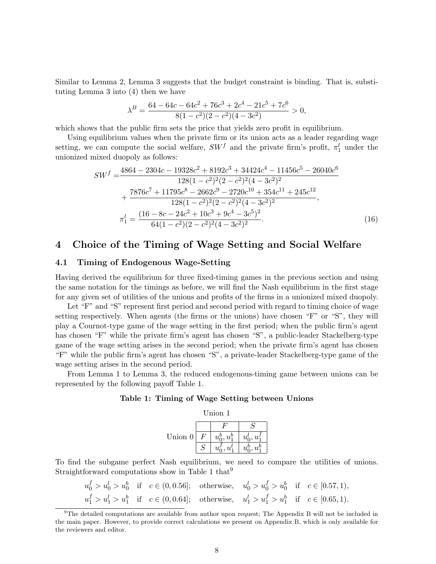Similar to Lemma 2, Lemma 3 suggests that the budget constraint is binding. That is, substituting Lemma 3 into (4) then we have

$$
\lambda^{B} = \frac{64 - 64c - 64c^{2} + 76c^{3} + 2c^{4} - 21c^{5} + 7c^{6}}{8(1 - c^{2})(2 - c^{2})(4 - 3c^{2})} > 0,
$$

which shows that the public firm sets the price that yields zero profit in equilibrium.

Using equilibrium values when the private firm or its union acts as a leader regarding wage setting, we can compute the social welfare,  $SW^f$  and the private firm's profit,  $\pi_1^l$  under the unionized mixed duopoly as follows:

$$
SW^{f} = \frac{4864 - 2304c - 19328c^{2} + 8192c^{3} + 34424c^{4} - 11456c^{5} - 26040c^{6}}{128(1 - c^{2})^{2}(2 - c^{2})^{2}(4 - 3c^{2})^{2}}
$$

$$
+ \frac{7876c^{7} + 11795c^{8} - 2662c^{9} - 2720c^{10} + 354c^{11} + 245c^{12}}{128(1 - c^{2})^{2}(2 - c^{2})^{2}(4 - 3c^{2})^{2}},
$$

$$
\pi_{1}^{l} = \frac{(16 - 8c - 24c^{2} + 10c^{3} + 9c^{4} - 3c^{5})^{2}}{64(1 - c^{2})(2 - c^{2})^{2}(4 - 3c^{2})^{2}}.
$$
(16)

# 4 Choice of the Timing of Wage Setting and Social Welfare

#### 4.1 Timing of Endogenous Wage-Setting

Having derived the equilibrium for three fixed-timing games in the previous section and using the same notation for the timings as before, we will find the Nash equilibrium in the first stage for any given set of utilities of the unions and profits of the firms in a unionized mixed duopoly.

Let "F" and "S" represent first period and second period with regard to timing choice of wage setting respectively. When agents (the firms or the unions) have chosen "F" or "S", they will play a Cournot-type game of the wage setting in the first period; when the public firm's agent has chosen "F" while the private firm's agent has chosen "S", a public-leader Stackelberg-type game of the wage setting arises in the second period; when the private firm's agent has chosen "F" while the public firm's agent has chosen "S", a private-leader Stackelberg-type game of the wage setting arises in the second period.

From Lemma 1 to Lemma 3, the reduced endogenous-timing game between unions can be represented by the following payoff Table 1.

#### Table 1: Timing of Wage Setting between Unions

| Union 1 |   |                |                |  |  |
|---------|---|----------------|----------------|--|--|
| Union 0 |   |                |                |  |  |
|         | F | $u_0^b, u_1^b$ | $u_0^l, u_1^l$ |  |  |
|         | S | $u_0', u_1'$   | $u_0^b, u_1^b$ |  |  |

To find the subgame perfect Nash equilibrium, we need to compare the utilities of unions. Straightforward computations show in Table 1 that<sup>9</sup>

$$
u_0^f > u_0^l > u_0^b \quad \text{if} \quad c \in (0, 0.56]; \quad \text{otherwise}, \quad u_0^l > u_0^f > u_0^b \quad \text{if} \quad c \in [0.57, 1),
$$
  

$$
u_1^f > u_1^l > u_1^b \quad \text{if} \quad c \in (0, 0.64]; \quad \text{otherwise}, \quad u_1^l > u_1^f > u_1^b \quad \text{if} \quad c \in [0.65, 1).
$$

<sup>&</sup>lt;sup>9</sup>The detailed computations are available from author upon request; The Appendix B will not be included in the main paper. However, to provide correct calculations we present on Appendix B, which is only available for the reviewers and editor.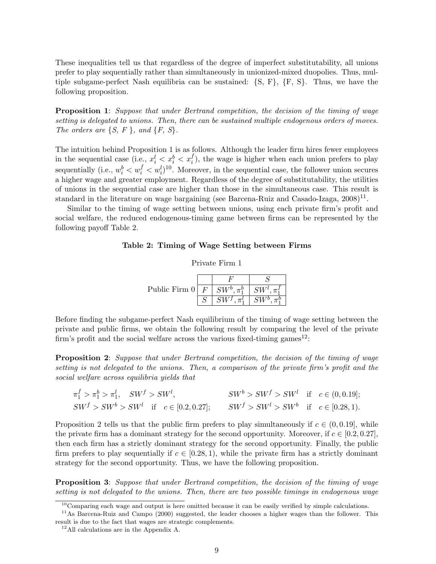These inequalities tell us that regardless of the degree of imperfect substitutability, all unions prefer to play sequentially rather than simultaneously in unionized-mixed duopolies. Thus, multiple subgame-perfect Nash equilibria can be sustained:  $\{S, F\}$ ,  $\{F, S\}$ . Thus, we have the following proposition.

Proposition 1: *Suppose that under Bertrand competition, the decision of the timing of wage setting is delegated to unions. Then, there can be sustained multiple endogenous orders of moves. The orders are* {*S, F* }*, and* {*F, S*}*.*

The intuition behind Proposition 1 is as follows. Although the leader firm hires fewer employees in the sequential case (i.e.,  $x_i^l < x_i^b < x_i^f$ ), the wage is higher when each union prefers to play sequentially (i.e.,  $w_i^b < w_i^f < w_i^l$ )<sup>10</sup>. Moreover, in the sequential case, the follower union secures a higher wage and greater employment. Regardless of the degree of substitutability, the utilities of unions in the sequential case are higher than those in the simultaneous case. This result is standard in the literature on wage bargaining (see Barcena-Ruiz and Casado-Izaga,  $2008$ )<sup>11</sup>.

Similar to the timing of wage setting between unions, using each private firm's profit and social welfare, the reduced endogenous-timing game between firms can be represented by the following payoff Table 2.

#### Table 2: Timing of Wage Setting between Firms

| Private Firm |  |
|--------------|--|
|              |  |

| Public Firm 0 | $\bm{F}$ | $SW^b$ , $\pi^b_1$ |  |
|---------------|----------|--------------------|--|
|               |          |                    |  |

Before finding the subgame-perfect Nash equilibrium of the timing of wage setting between the private and public firms, we obtain the following result by comparing the level of the private firm's profit and the social welfare across the various fixed-timing games<sup>12</sup>:

Proposition 2: *Suppose that under Bertrand competition, the decision of the timing of wage setting is not delegated to the unions. Then, a comparison of the private firm's profit and the social welfare across equilibria yields that*

$$
\pi_1^f > \pi_1^b > \pi_1^l, \quad SW^f > SW^l, \qquad SW^b > SW^f > SW^l \quad \text{if} \quad c \in (0, 0.19];
$$
  
\n
$$
SW^f > SW^b > SW^l \quad \text{if} \quad c \in [0.2, 0.27]; \qquad SW^f > SW^l > SW^b \quad \text{if} \quad c \in [0.28, 1).
$$

Proposition 2 tells us that the public firm prefers to play simultaneously if  $c \in (0, 0.19]$ , while the private firm has a dominant strategy for the second opportunity. Moreover, if  $c \in [0.2, 0.27]$ , then each firm has a strictly dominant strategy for the second opportunity. Finally, the public firm prefers to play sequentially if  $c \in [0.28, 1)$ , while the private firm has a strictly dominant strategy for the second opportunity. Thus, we have the following proposition.

Proposition 3: *Suppose that under Bertrand competition, the decision of the timing of wage setting is not delegated to the unions. Then, there are two possible timings in endogenous wage*

 $10$ Comparing each wage and output is here omitted because it can be easily verified by simple calculations.

<sup>&</sup>lt;sup>11</sup>As Barcena-Ruiz and Campo (2000) suggested, the leader chooses a higher wages than the follower. This result is due to the fact that wages are strategic complements.

<sup>12</sup>All calculations are in the Appendix A.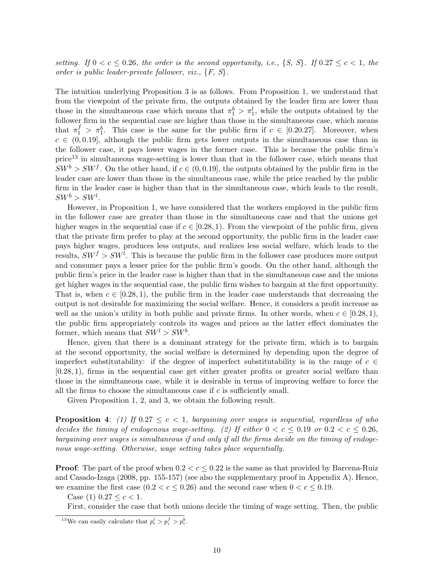*setting.* If  $0 < c \leq 0.26$ , the order is the second opportunity, i.e., {*S, S*}. If  $0.27 \leq c < 1$ , the *order is public leader-private follower, viz.,* {*F, S*}*.*

The intuition underlying Proposition 3 is as follows. From Proposition 1, we understand that from the viewpoint of the private firm, the outputs obtained by the leader firm are lower than those in the simultaneous case which means that  $\pi_1^b > \pi_1^l$ , while the outputs obtained by the follower firm in the sequential case are higher than those in the simultaneous case, which means that  $\pi_1^f > \pi_1^b$ . This case is the same for the public firm if  $c \in [0.20.27]$ . Moreover, when  $c \in (0, 0.19]$ , although the public firm gets lower outputs in the simultaneous case than in the follower case, it pays lower wages in the former case. This is because the public firm's  $price<sup>13</sup>$  in simultaneous wage-setting is lower than that in the follower case, which means that  $SW^b > SW^f$ . On the other hand, if  $c \in (0, 0.19]$ , the outputs obtained by the public firm in the leader case are lower than those in the simultaneous case, while the price reached by the public firm in the leader case is higher than that in the simultaneous case, which leads to the result,  $SW^b > SW^l$ .

However, in Proposition 1, we have considered that the workers employed in the public firm in the follower case are greater than those in the simultaneous case and that the unions get higher wages in the sequential case if  $c \in [0.28, 1)$ . From the viewpoint of the public firm, given that the private firm prefer to play at the second opportunity, the public firm in the leader case pays higher wages, produces less outputs, and realizes less social welfare, which leads to the results,  $SW^f > SW^l$ . This is because the public firm in the follower case produces more output and consumer pays a lesser price for the public firm's goods. On the other hand, although the public firm's price in the leader case is higher than that in the simultaneous case and the unions get higher wages in the sequential case, the public firm wishes to bargain at the first opportunity. That is, when  $c \in [0.28, 1)$ , the public firm in the leader case understands that decreasing the output is not desirable for maximizing the social welfare. Hence, it considers a profit increase as well as the union's utility in both public and private firms. In other words, when  $c \in [0.28, 1)$ , the public firm appropriately controls its wages and prices as the latter effect dominates the former, which means that  $SW^l > SW^b$ .

Hence, given that there is a dominant strategy for the private firm, which is to bargain at the second opportunity, the social welfare is determined by depending upon the degree of imperfect substitutability: if the degree of imperfect substitutability is in the range of  $c \in \mathcal{C}$ [0.28, 1), firms in the sequential case get either greater profits or greater social welfare than those in the simultaneous case, while it is desirable in terms of improving welfare to force the all the firms to choose the simultaneous case if  $c$  is sufficiently small.

Given Proposition 1, 2, and 3, we obtain the following result.

**Proposition 4:** (1) If  $0.27 \leq c \leq 1$ , bargaining over wages is sequential, regardless of who *decides the timing of endogenous wage-setting.* (2) If either  $0 < c \leq 0.19$  or  $0.2 < c \leq 0.26$ , *bargaining over wages is simultaneous if and only if all the firms decide on the timing of endogenous wage-setting. Otherwise, wage setting takes place sequentially.*

**Proof:** The part of the proof when  $0.2 < c \leq 0.22$  is the same as that provided by Barcena-Ruiz and Casado-Izaga (2008, pp. 155-157) (see also the supplementary proof in Appendix A). Hence, we examine the first case  $(0.2 < c \le 0.26)$  and the second case when  $0 < c \le 0.19$ .

Case (1)  $0.27 \leq c < 1$ .

First, consider the case that both unions decide the timing of wage setting. Then, the public

<sup>&</sup>lt;sup>13</sup>We can easily calculate that  $p_i^l > p_i^f > p_i^b$ .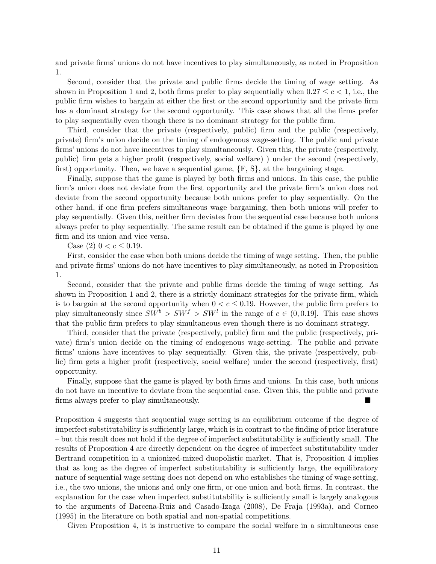and private firms' unions do not have incentives to play simultaneously, as noted in Proposition 1.

Second, consider that the private and public firms decide the timing of wage setting. As shown in Proposition 1 and 2, both firms prefer to play sequentially when  $0.27 \leq c \leq 1$ , i.e., the public firm wishes to bargain at either the first or the second opportunity and the private firm has a dominant strategy for the second opportunity. This case shows that all the firms prefer to play sequentially even though there is no dominant strategy for the public firm.

Third, consider that the private (respectively, public) firm and the public (respectively, private) firm's union decide on the timing of endogenous wage-setting. The public and private firms' unions do not have incentives to play simultaneously. Given this, the private (respectively, public) firm gets a higher profit (respectively, social welfare) ) under the second (respectively, first) opportunity. Then, we have a sequential game,  $\{F, S\}$ , at the bargaining stage.

Finally, suppose that the game is played by both firms and unions. In this case, the public firm's union does not deviate from the first opportunity and the private firm's union does not deviate from the second opportunity because both unions prefer to play sequentially. On the other hand, if one firm prefers simultaneous wage bargaining, then both unions will prefer to play sequentially. Given this, neither firm deviates from the sequential case because both unions always prefer to play sequentially. The same result can be obtained if the game is played by one firm and its union and vice versa.

Case (2)  $0 < c \leq 0.19$ .

First, consider the case when both unions decide the timing of wage setting. Then, the public and private firms' unions do not have incentives to play simultaneously, as noted in Proposition 1.

Second, consider that the private and public firms decide the timing of wage setting. As shown in Proposition 1 and 2, there is a strictly dominant strategies for the private firm, which is to bargain at the second opportunity when  $0 < c \leq 0.19$ . However, the public firm prefers to play simultaneously since  $SW^b > SW^f > SW^l$  in the range of  $c \in (0, 0.19]$ . This case shows that the public firm prefers to play simultaneous even though there is no dominant strategy.

Third, consider that the private (respectively, public) firm and the public (respectively, private) firm's union decide on the timing of endogenous wage-setting. The public and private firms' unions have incentives to play sequentially. Given this, the private (respectively, public) firm gets a higher profit (respectively, social welfare) under the second (respectively, first) opportunity.

Finally, suppose that the game is played by both firms and unions. In this case, both unions do not have an incentive to deviate from the sequential case. Given this, the public and private firms always prefer to play simultaneously.

Proposition 4 suggests that sequential wage setting is an equilibrium outcome if the degree of imperfect substitutability is sufficiently large, which is in contrast to the finding of prior literature – but this result does not hold if the degree of imperfect substitutability is sufficiently small. The results of Proposition 4 are directly dependent on the degree of imperfect substitutability under Bertrand competition in a unionized-mixed duopolistic market. That is, Proposition 4 implies that as long as the degree of imperfect substitutability is sufficiently large, the equilibratory nature of sequential wage setting does not depend on who establishes the timing of wage setting, i.e., the two unions, the unions and only one firm, or one union and both firms. In contrast, the explanation for the case when imperfect substitutability is sufficiently small is largely analogous to the arguments of Barcena-Ruiz and Casado-Izaga (2008), De Fraja (1993a), and Corneo (1995) in the literature on both spatial and non-spatial competitions.

Given Proposition 4, it is instructive to compare the social welfare in a simultaneous case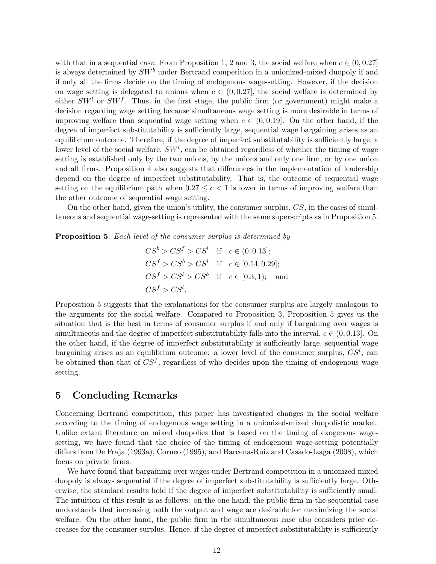with that in a sequential case. From Proposition 1, 2 and 3, the social welfare when  $c \in (0, 0.27]$ is always determined by  $SW^b$  under Bertrand competition in a unionized-mixed duopoly if and if only all the firms decide on the timing of endogenous wage-setting. However, if the decision on wage setting is delegated to unions when  $c \in (0, 0.27]$ , the social welfare is determined by either  $SW<sup>l</sup>$  or  $SW<sup>f</sup>$ . Thus, in the first stage, the public firm (or government) might make a decision regarding wage setting because simultaneous wage setting is more desirable in terms of improving welfare than sequential wage setting when  $c \in (0, 0.19]$ . On the other hand, if the degree of imperfect substitutability is sufficiently large, sequential wage bargaining arises as an equilibrium outcome. Therefore, if the degree of imperfect substitutability is sufficiently large, a lower level of the social welfare,  $SW<sup>l</sup>$ , can be obtained regardless of whether the timing of wage setting is established only by the two unions, by the unions and only one firm, or by one union and all firms. Proposition 4 also suggests that differences in the implementation of leadership depend on the degree of imperfect substitutability. That is, the outcome of sequential wage setting on the equilibrium path when  $0.27 \leq c < 1$  is lower in terms of improving welfare than the other outcome of sequential wage setting.

On the other hand, given the union's utility, the consumer surplus,  $CS$ , in the cases of simultaneous and sequential wage-setting is represented with the same superscripts as in Proposition 5.

Proposition 5: *Each level of the consumer surplus is determined by*

$$
CS^b > CS^f > CS^l \text{ if } c \in (0, 0.13];
$$
  
\n
$$
CS^f > CS^b > CS^l \text{ if } c \in [0.14, 0.29];
$$
  
\n
$$
CS^f > CS^l > CS^b \text{ if } c \in [0.3, 1);
$$
 and  
\n
$$
CS^f > CS^l.
$$

Proposition 5 suggests that the explanations for the consumer surplus are largely analogous to the arguments for the social welfare. Compared to Proposition 3, Proposition 5 gives us the situation that is the best in terms of consumer surplus if and only if bargaining over wages is simultaneous and the degree of imperfect substitutability falls into the interval,  $c \in (0, 0.13]$ . On the other hand, if the degree of imperfect substitutability is sufficiently large, sequential wage bargaining arises as an equilibrium outcome: a lower level of the consumer surplus,  $CS^l$ , can be obtained than that of  $CS<sup>f</sup>$ , regardless of who decides upon the timing of endogenous wage setting.

## 5 Concluding Remarks

Concerning Bertrand competition, this paper has investigated changes in the social welfare according to the timing of endogenous wage setting in a unionized-mixed duopolistic market. Unlike extant literature on mixed duopolies that is based on the timing of exogenous wagesetting, we have found that the choice of the timing of endogenous wage-setting potentially differs from De Fraja (1993a), Corneo (1995), and Barcena-Ruiz and Casado-Izaga (2008), which focus on private firms.

We have found that bargaining over wages under Bertrand competition in a unionized mixed duopoly is always sequential if the degree of imperfect substitutability is sufficiently large. Otherwise, the standard results hold if the degree of imperfect substitutability is sufficiently small. The intuition of this result is as follows: on the one hand, the public firm in the sequential case understands that increasing both the output and wage are desirable for maximizing the social welfare. On the other hand, the public firm in the simultaneous case also considers price decreases for the consumer surplus. Hence, if the degree of imperfect substitutability is sufficiently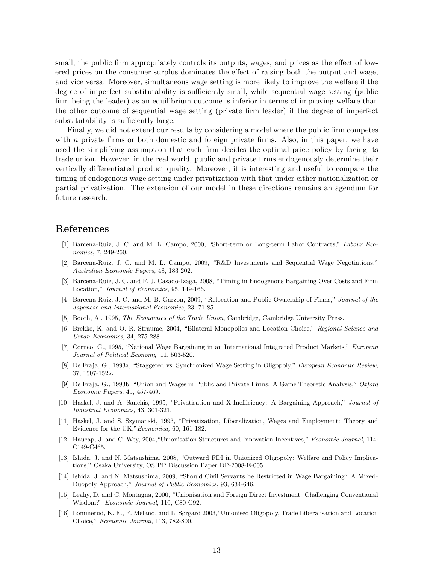small, the public firm appropriately controls its outputs, wages, and prices as the effect of lowered prices on the consumer surplus dominates the effect of raising both the output and wage, and vice versa. Moreover, simultaneous wage setting is more likely to improve the welfare if the degree of imperfect substitutability is sufficiently small, while sequential wage setting (public firm being the leader) as an equilibrium outcome is inferior in terms of improving welfare than the other outcome of sequential wage setting (private firm leader) if the degree of imperfect substitutability is sufficiently large.

Finally, we did not extend our results by considering a model where the public firm competes with  $n$  private firms or both domestic and foreign private firms. Also, in this paper, we have used the simplifying assumption that each firm decides the optimal price policy by facing its trade union. However, in the real world, public and private firms endogenously determine their vertically differentiated product quality. Moreover, it is interesting and useful to compare the timing of endogenous wage setting under privatization with that under either nationalization or partial privatization. The extension of our model in these directions remains an agendum for future research.

## References

- [1] Barcena-Ruiz, J. C. and M. L. Campo, 2000, "Short-term or Long-term Labor Contracts," Labour Economics, 7, 249-260.
- [2] Barcena-Ruiz, J. C. and M. L. Campo, 2009, "R&D Investments and Sequential Wage Negotiations," Australian Economic Papers, 48, 183-202.
- [3] Barcena-Ruiz, J. C. and F. J. Casado-Izaga, 2008, "Timing in Endogenous Bargaining Over Costs and Firm Location," Journal of Economics, 95, 149-166.
- [4] Barcena-Ruiz, J. C. and M. B. Garzon, 2009, "Relocation and Public Ownership of Firms," Journal of the Japanese and International Economies, 23, 71-85.
- [5] Booth, A., 1995, The Economics of the Trade Union, Cambridge, Cambridge University Press.
- [6] Brekke, K. and O. R. Straume, 2004, "Bilateral Monopolies and Location Choice," Regional Science and Urban Economics, 34, 275-288.
- [7] Corneo, G., 1995, "National Wage Bargaining in an International Integrated Product Markets," European Journal of Political Economy, 11, 503-520.
- [8] De Fraja, G., 1993a, "Staggered vs. Synchronized Wage Setting in Oligopoly," European Economic Review, 37, 1507-1522.
- [9] De Fraja, G., 1993b, "Union and Wages in Public and Private Firms: A Game Theoretic Analysis," Oxford Economic Papers, 45, 457-469.
- [10] Haskel, J. and A. Sanchis, 1995, "Privatisation and X-Inefficiency: A Bargaining Approach," Journal of Industrial Economics, 43, 301-321.
- [11] Haskel, J. and S. Szymanski, 1993, "Privatization, Liberalization, Wages and Employment: Theory and Evidence for the UK,"Economica, 60, 161-182.
- [12] Haucap, J. and C. Wey, 2004,"Unionisation Structures and Innovation Incentives," Economic Journal, 114: C149-C465.
- [13] Ishida, J. and N. Matsushima, 2008, "Outward FDI in Unionized Oligopoly: Welfare and Policy Implications," Osaka University, OSIPP Discussion Paper DP-2008-E-005.
- [14] Ishida, J. and N. Matsushima, 2009, "Should Civil Servants be Restricted in Wage Bargaining? A Mixed-Duopoly Approach," Journal of Public Economics, 93, 634-646.
- [15] Leahy, D. and C. Montagna, 2000, "Unionisation and Foreign Direct Investment: Challenging Conventional Wisdom?" Economic Journal, 110, C80-C92.
- [16] Lommerud, K. E., F. Meland, and L. Sørgard 2003,"Unionised Oligopoly, Trade Liberalisation and Location Choice," Economic Journal, 113, 782-800.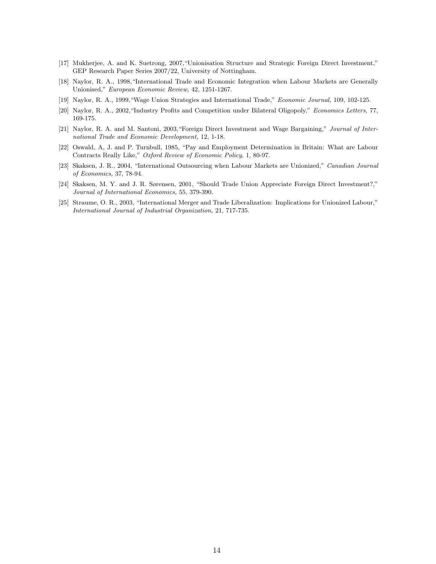- [17] Mukherjee, A. and K. Suetrong, 2007,"Unionisation Structure and Strategic Foreign Direct Investment," GEP Research Paper Series 2007/22, University of Nottingham.
- [18] Naylor, R. A., 1998,"International Trade and Economic Integration when Labour Markets are Generally Unionised," European Economic Review, 42, 1251-1267.
- [19] Naylor, R. A., 1999,"Wage Union Strategies and International Trade," Economic Journal, 109, 102-125.
- [20] Naylor, R. A., 2002,"Industry Profits and Competition under Bilateral Oligopoly," Economics Letters, 77, 169-175.
- [21] Naylor, R. A. and M. Santoni, 2003, "Foreign Direct Investment and Wage Bargaining," Journal of International Trade and Economic Development, 12, 1-18.
- [22] Oswald, A, J. and P. Turnbull, 1985, "Pay and Employment Determination in Britain: What are Labour Contracts Really Like," Oxford Review of Economic Policy, 1, 80-97.
- [23] Skaksen, J. R., 2004, "International Outsourcing when Labour Markets are Unionized," Canadian Journal of Economics, 37, 78-94.
- [24] Skaksen, M. Y. and J. R. Sørensen, 2001, "Should Trade Union Appreciate Foreign Direct Investment?," Journal of International Economics, 55, 379-390.
- [25] Straume, O. R., 2003, "International Merger and Trade Liberalization: Implications for Unionized Labour," International Journal of Industrial Organization, 21, 717-735.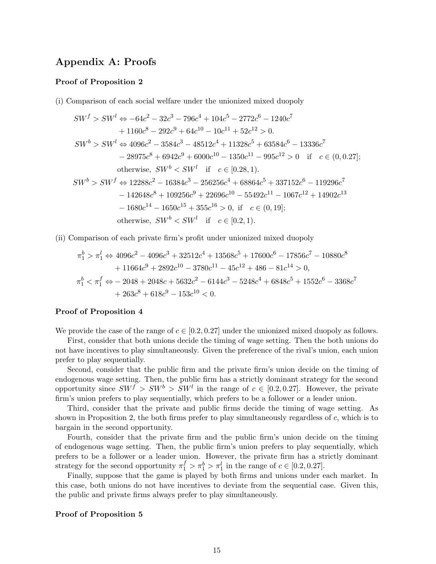# Appendix A: Proofs

#### Proof of Proposition 2

(i) Comparison of each social welfare under the unionized mixed duopoly

$$
SW^f > SW^l \Leftrightarrow -64c^2 - 32c^3 - 796c^4 + 104c^5 - 2772c^6 - 1240c^7
$$
  
+ 1160c<sup>8</sup> - 292c<sup>9</sup> + 64c<sup>10</sup> - 10c<sup>11</sup> + 52c<sup>12</sup> > 0.  

$$
SW^b > SW^l \Leftrightarrow 4096c^2 - 3584c^3 - 48512c^4 + 11328c^5 + 63584c^6 - 13336c^7
$$
  
- 28975c<sup>8</sup> + 6942c<sup>9</sup> + 6000c<sup>10</sup> - 1350c<sup>11</sup> - 995c<sup>12</sup> > 0 if c \in (0, 0.27];  
otherwise, SW<sup>b</sup> < SW<sup>l</sup> if c \in [0.28, 1).  

$$
SW^b > SW^f \Leftrightarrow 12288c^2 - 16384c^3 - 256256c^4 + 68864c^5 + 337152c^6 - 119296c^7
$$
  
- 142648c<sup>8</sup> + 109256c<sup>9</sup> + 22696c<sup>10</sup> - 55492c<sup>11</sup> - 1067c<sup>12</sup> + 14902c<sup>13</sup>  
- 1680c<sup>14</sup> - 1650c<sup>15</sup> + 355c<sup>16</sup> > 0, if c \in (0, 19];  
otherwise, SW<sup>b</sup> < SW<sup>l</sup> if c \in [0.2, 1).

(ii) Comparison of each private firm's profit under unionized mixed duopoly

$$
\pi_1^b > \pi_1^l \Leftrightarrow 4096c^2 - 4096c^3 + 32512c^4 + 13568c^5 + 17600c^6 - 17856c^7 - 10880c^8 \n+ 11664c^9 + 2892c^{10} - 3780c^{11} - 45c^{12} + 486 - 81c^{14} > 0, \n\pi_1^b < \pi_1^f \Leftrightarrow -2048 + 2048c + 5632c^2 - 6144c^3 - 5248c^4 + 6848c^5 + 1552c^6 - 3368c^7 \n+ 263c^8 + 618c^9 - 153c^{10} < 0.
$$

#### Proof of Proposition 4

We provide the case of the range of  $c \in [0.2, 0.27]$  under the unionized mixed duopoly as follows.

First, consider that both unions decide the timing of wage setting. Then the both unions do not have incentives to play simultaneously. Given the preference of the rival's union, each union prefer to play sequentially.

Second, consider that the public firm and the private firm's union decide on the timing of endogenous wage setting. Then, the public firm has a strictly dominant strategy for the second opportunity since  $SW^f > SW^b > SW^l$  in the range of  $c \in [0.2, 0.27]$ . However, the private firm's union prefers to play sequentially, which prefers to be a follower or a leader union.

Third, consider that the private and public firms decide the timing of wage setting. As shown in Proposition 2, the both firms prefer to play simultaneously regardless of  $c$ , which is to bargain in the second opportunity.

Fourth, consider that the private firm and the public firm's union decide on the timing of endogenous wage setting. Then, the public firm's union prefers to play sequentially, which prefers to be a follower or a leader union. However, the private firm has a strictly dominant strategy for the second opportunity  $\pi_1^f > \pi_1^b > \pi_1^l$  in the range of  $c \in [0.2, 0.27]$ .

Finally, suppose that the game is played by both firms and unions under each market. In this case, both unions do not have incentives to deviate from the sequential case. Given this, the public and private firms always prefer to play simultaneously.

#### Proof of Proposition 5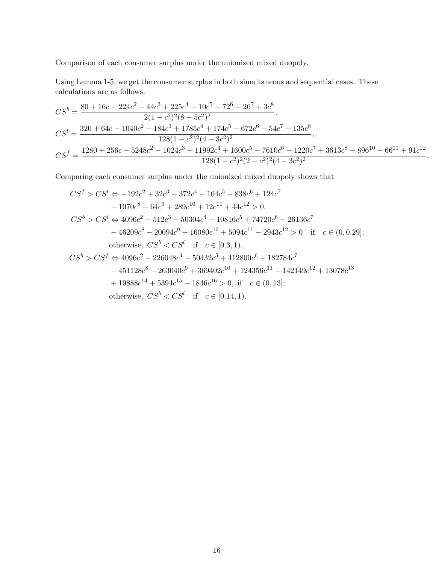Comparison of each consumer surplus under the unionized mixed duopoly.

Using Lemma 1-5, we get the consumer surplus in both simultaneous and sequential cases. These calculations are as follows:

$$
CS^b = \frac{80 + 16c - 224c^2 - 44c^3 + 225c^4 - 10c^5 - 72^6 + 26^7 + 3c^8}{2(1 - c^2)^2 (8 - 5c^2)^2},
$$
  
\n
$$
CS^l = \frac{320 + 64c - 1040c^2 - 184c^3 + 1785c^4 + 174c^5 - 672c^6 - 54c^7 + 135c^8}{128(1 - c^2)^2 (4 - 3c^2)^2},
$$
  
\n
$$
CS^f = \frac{1280 + 256c - 5248c^2 - 1024c^3 + 11992c^4 + 1600c^5 - 7610c^6 - 1220c^7 + 3613c^8 - 896^{10} - 66^{11} + 91c^{12}}{128(1 - c^2)^2 (2 - c^2)^2 (4 - 3c^2)^2}.
$$

Comparing each consumer surplus under the unionized mixed duopoly shows that

$$
CS^{f} > CS^{l} \Leftrightarrow -192c^{2} + 32c^{3} - 372c^{4} - 104c^{5} - 838c^{6} + 124c^{7}
$$
  
\n
$$
-1070c^{8} - 64c^{9} + 289c^{10} + 12c^{11} + 44c^{12} > 0.
$$
  
\n
$$
CS^{b} > CS^{l} \Leftrightarrow 4096c^{2} - 512c^{3} - 50304c^{4} - 10816c^{5} + 74720c^{6} + 26136c^{7}
$$
  
\n
$$
-46209c^{8} - 20094c^{9} + 16080c^{10} + 5094c^{11} - 2943c^{12} > 0 \text{ if } c \in (0, 0.29];
$$
  
\notherwise,  $CS^{b} < CS^{l}$  if  $c \in [0.3, 1).$   
\n
$$
CS^{b} > CS^{f} \Leftrightarrow 4096c^{2} - 226048c^{4} - 50432c^{5} + 412800c^{6} + 182784c^{7}
$$
  
\n
$$
- 451128c^{8} - 263040c^{9} + 369402c^{10} + 124356c^{11} - 142149c^{12} + 13078c^{13}
$$
  
\n
$$
+ 19888c^{14} + 5394c^{15} - 1846c^{16} > 0, \text{ if } c \in (0, 13];
$$

otherwise,  $CS^b < CS^l$  if  $c \in [0.14, 1)$ .